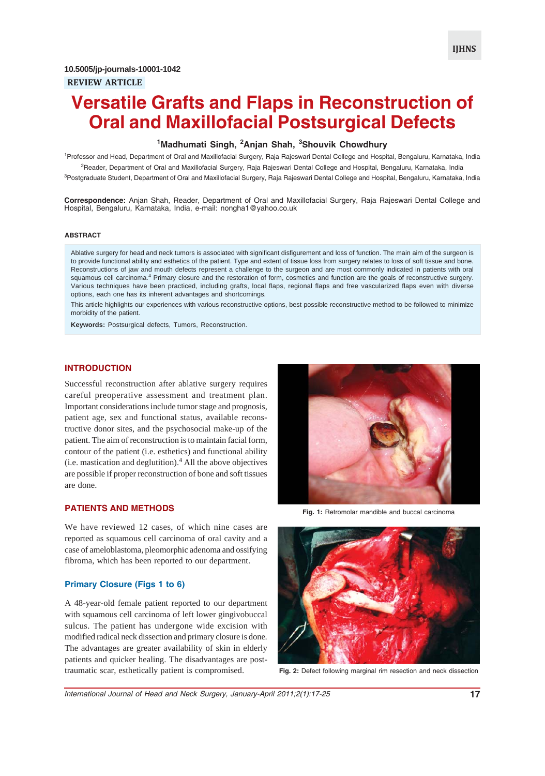# **Versatile Grafts and Flaps in Reconstruction of Oral and Maxillofacial Postsurgical Defects**

# **1 Madhumati Singh, <sup>2</sup> Anjan Shah, <sup>3</sup> Shouvik Chowdhury**

1 Professor and Head, Department of Oral and Maxillofacial Surgery, Raja Rajeswari Dental College and Hospital, Bengaluru, Karnataka, India <sup>2</sup>Reader, Department of Oral and Maxillofacial Surgery, Raja Rajeswari Dental College and Hospital, Bengaluru, Karnataka, India

<sup>3</sup>Postgraduate Student, Department of Oral and Maxillofacial Surgery, Raja Rajeswari Dental College and Hospital, Bengaluru, Karnataka, India

**Correspondence:** Anjan Shah, Reader, Department of Oral and Maxillofacial Surgery, Raja Rajeswari Dental College and Hospital, Bengaluru, Karnataka, India, e-mail: nongha1@yahoo.co.uk

#### **ABSTRACT**

Ablative surgery for head and neck tumors is associated with significant disfigurement and loss of function. The main aim of the surgeon is to provide functional ability and esthetics of the patient. Type and extent of tissue loss from surgery relates to loss of soft tissue and bone. Reconstructions of jaw and mouth defects represent a challenge to the surgeon and are most commonly indicated in patients with oral squamous cell carcinoma.<sup>4</sup> Primary closure and the restoration of form, cosmetics and function are the goals of reconstructive surgery. Various techniques have been practiced, including grafts, local flaps, regional flaps and free vascularized flaps even with diverse options, each one has its inherent advantages and shortcomings.

This article highlights our experiences with various reconstructive options, best possible reconstructive method to be followed to minimize morbidity of the patient.

**Keywords:** Postsurgical defects, Tumors, Reconstruction.

### **INTRODUCTION**

Successful reconstruction after ablative surgery requires careful preoperative assessment and treatment plan. Important considerations include tumor stage and prognosis, patient age, sex and functional status, available reconstructive donor sites, and the psychosocial make-up of the patient. The aim of reconstruction is to maintain facial form, contour of the patient (i.e. esthetics) and functional ability  $(i.e.$  mastication and deglutition). $<sup>4</sup>$  All the above objectives</sup> are possible if proper reconstruction of bone and soft tissues are done.

# **PATIENTS AND METHODS**

We have reviewed 12 cases, of which nine cases are reported as squamous cell carcinoma of oral cavity and a case of ameloblastoma, pleomorphic adenoma and ossifying fibroma, which has been reported to our department.

### **Primary Closure (Figs 1 to 6)**

A 48-year-old female patient reported to our department with squamous cell carcinoma of left lower gingivobuccal sulcus. The patient has undergone wide excision with modified radical neck dissection and primary closure is done. The advantages are greater availability of skin in elderly patients and quicker healing. The disadvantages are posttraumatic scar, esthetically patient is compromised.



**Fig. 1:** Retromolar mandible and buccal carcinoma



**Fig. 2:** Defect following marginal rim resection and neck dissection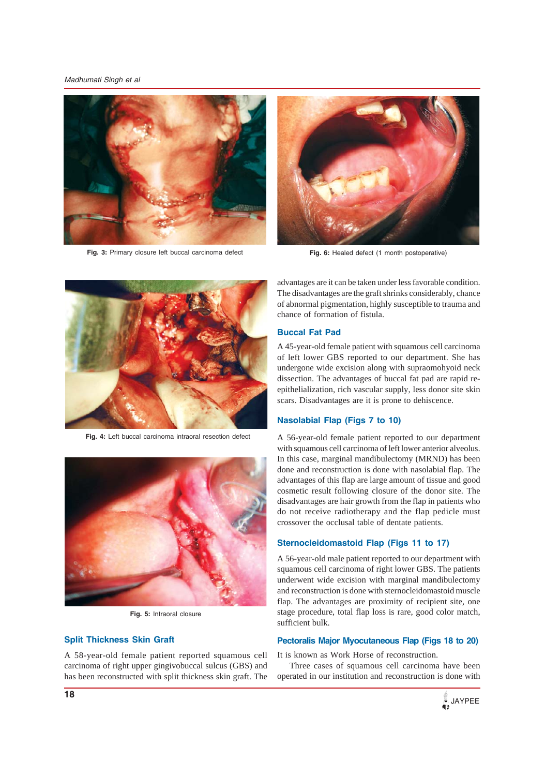*Madhumati Singh et al*



**Fig. 3:** Primary closure left buccal carcinoma defect



**Fig. 6:** Healed defect (1 month postoperative)



**Fig. 4:** Left buccal carcinoma intraoral resection defect



**Fig. 5:** Intraoral closure

### **Split Thickness Skin Graft**

A 58-year-old female patient reported squamous cell carcinoma of right upper gingivobuccal sulcus (GBS) and has been reconstructed with split thickness skin graft. The

advantages are it can be taken under less favorable condition. The disadvantages are the graft shrinks considerably, chance of abnormal pigmentation, highly susceptible to trauma and chance of formation of fistula.

### **Buccal Fat Pad**

A 45-year-old female patient with squamous cell carcinoma of left lower GBS reported to our department. She has undergone wide excision along with supraomohyoid neck dissection. The advantages of buccal fat pad are rapid reepithelialization, rich vascular supply, less donor site skin scars. Disadvantages are it is prone to dehiscence.

### **Nasolabial Flap (Figs 7 to 10)**

A 56-year-old female patient reported to our department with squamous cell carcinoma of left lower anterior alveolus. In this case, marginal mandibulectomy (MRND) has been done and reconstruction is done with nasolabial flap. The advantages of this flap are large amount of tissue and good cosmetic result following closure of the donor site. The disadvantages are hair growth from the flap in patients who do not receive radiotherapy and the flap pedicle must crossover the occlusal table of dentate patients.

### **Sternocleidomastoid Flap (Figs 11 to 17)**

A 56-year-old male patient reported to our department with squamous cell carcinoma of right lower GBS. The patients underwent wide excision with marginal mandibulectomy and reconstruction is done with sternocleidomastoid muscle flap. The advantages are proximity of recipient site, one stage procedure, total flap loss is rare, good color match, sufficient bulk.

# **Pectoralis Major Myocutaneous Flap (Figs 18 to 20)**

It is known as Work Horse of reconstruction.

Three cases of squamous cell carcinoma have been operated in our institution and reconstruction is done with

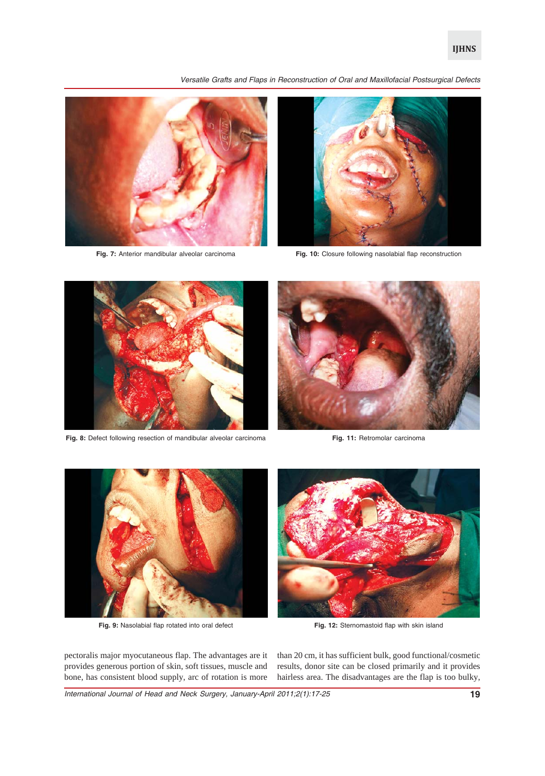*Versatile Grafts and Flaps in Reconstruction of Oral and Maxillofacial Postsurgical Defects*



**Fig. 7:** Anterior mandibular alveolar carcinoma



**Fig. 10:** Closure following nasolabial flap reconstruction



**Fig. 8:** Defect following resection of mandibular alveolar carcinoma **Fig. 11:** Retromolar carcinoma





**Fig. 9:** Nasolabial flap rotated into oral defect

**Fig. 12:** Sternomastoid flap with skin island

pectoralis major myocutaneous flap. The advantages are it provides generous portion of skin, soft tissues, muscle and bone, has consistent blood supply, arc of rotation is more than 20 cm, it has sufficient bulk, good functional/cosmetic results, donor site can be closed primarily and it provides hairless area. The disadvantages are the flap is too bulky,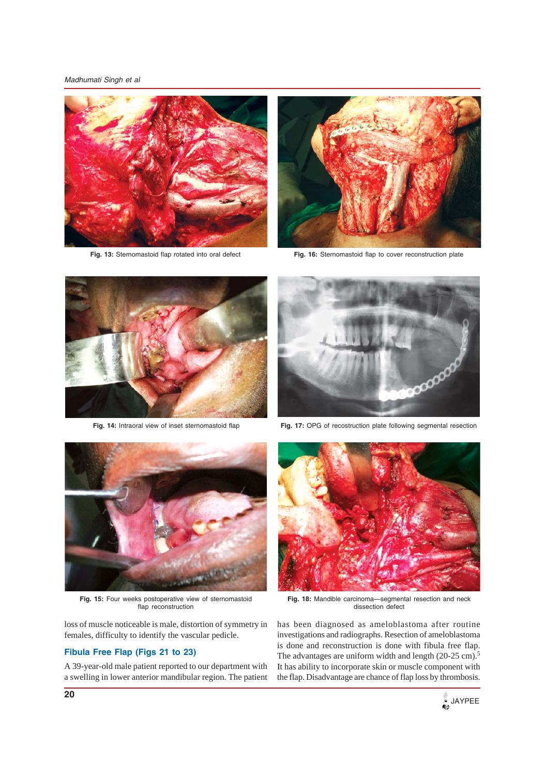*Madhumati Singh et al*



**Fig. 13:** Sternomastoid flap rotated into oral defect



**Fig. 16:** Sternomastoid flap to cover reconstruction plate



**Fig. 14:** Intraoral view of inset sternomastoid flap



**Fig. 17:** OPG of recostruction plate following segmental resection



**Fig. 15:** Four weeks postoperative view of sternomastoid flap reconstruction

loss of muscle noticeable is male, distortion of symmetry in females, difficulty to identify the vascular pedicle.

# **Fibula Free Flap (Figs 21 to 23)**

A 39-year-old male patient reported to our department with a swelling in lower anterior mandibular region. The patient



**Fig. 18:** Mandible carcinoma—segmental resection and neck dissection defect

has been diagnosed as ameloblastoma after routine investigations and radiographs. Resection of ameloblastoma is done and reconstruction is done with fibula free flap. The advantages are uniform width and length (20-25 cm).<sup>5</sup> It has ability to incorporate skin or muscle component with the flap. Disadvantage are chance of flap loss by thrombosis.

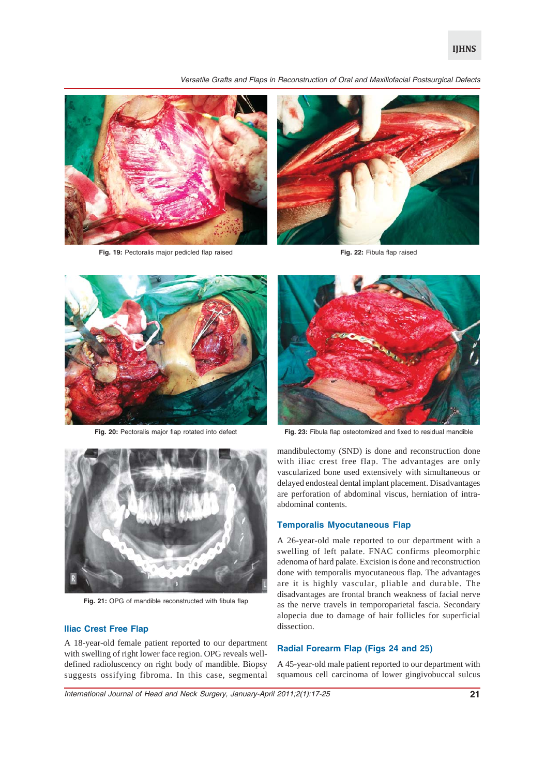*Versatile Grafts and Flaps in Reconstruction of Oral and Maxillofacial Postsurgical Defects*



**Fig. 19:** Pectoralis major pedicled flap raised



**Fig. 22:** Fibula flap raised



Fig. 20: Pectoralis major flap rotated into defect



Fig. 21: OPG of mandible reconstructed with fibula flap

### **Iliac Crest Free Flap**

A 18-year-old female patient reported to our department with swelling of right lower face region. OPG reveals welldefined radioluscency on right body of mandible. Biopsy suggests ossifying fibroma. In this case, segmental



**Fig. 23:** Fibula flap osteotomized and fixed to residual mandible

mandibulectomy (SND) is done and reconstruction done with iliac crest free flap. The advantages are only vascularized bone used extensively with simultaneous or delayed endosteal dental implant placement. Disadvantages are perforation of abdominal viscus, herniation of intraabdominal contents.

### **Temporalis Myocutaneous Flap**

A 26-year-old male reported to our department with a swelling of left palate. FNAC confirms pleomorphic adenoma of hard palate. Excision is done and reconstruction done with temporalis myocutaneous flap. The advantages are it is highly vascular, pliable and durable. The disadvantages are frontal branch weakness of facial nerve as the nerve travels in temporoparietal fascia. Secondary alopecia due to damage of hair follicles for superficial dissection.

### **Radial Forearm Flap (Figs 24 and 25)**

A 45-year-old male patient reported to our department with squamous cell carcinoma of lower gingivobuccal sulcus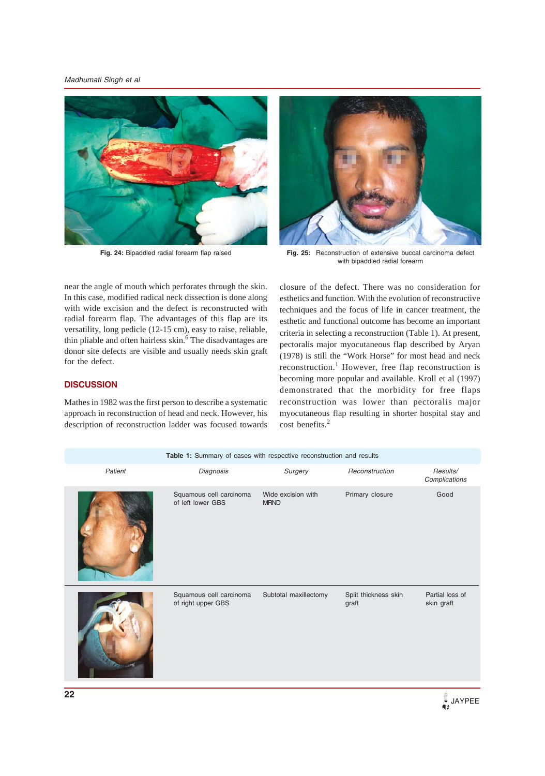*Madhumati Singh et al*





**Fig. 24:** Bipaddled radial forearm flap raised **Fig. 25:** Reconstruction of extensive buccal carcinoma defect with bipaddled radial forearm

near the angle of mouth which perforates through the skin. In this case, modified radical neck dissection is done along with wide excision and the defect is reconstructed with radial forearm flap. The advantages of this flap are its versatility, long pedicle (12-15 cm), easy to raise, reliable, thin pliable and often hairless skin.<sup>6</sup> The disadvantages are donor site defects are visible and usually needs skin graft for the defect.

# **DISCUSSION**

Mathes in 1982 was the first person to describe a systematic approach in reconstruction of head and neck. However, his description of reconstruction ladder was focused towards closure of the defect. There was no consideration for esthetics and function. With the evolution of reconstructive techniques and the focus of life in cancer treatment, the esthetic and functional outcome has become an important criteria in selecting a reconstruction (Table 1). At present, pectoralis major myocutaneous flap described by Aryan (1978) is still the "Work Horse" for most head and neck reconstruction.<sup>1</sup> However, free flap reconstruction is becoming more popular and available. Kroll et al (1997) demonstrated that the morbidity for free flaps reconstruction was lower than pectoralis major myocutaneous flap resulting in shorter hospital stay and cost benefits.<sup>2</sup>

| Surgery<br>Patient<br>Diagnosis<br>Reconstruction<br>Results/<br>Complications<br>Wide excision with<br>Primary closure<br>Good<br>Squamous cell carcinoma<br>of left lower GBS<br><b>MRND</b> |               |
|------------------------------------------------------------------------------------------------------------------------------------------------------------------------------------------------|---------------|
|                                                                                                                                                                                                |               |
|                                                                                                                                                                                                |               |
| Squamous cell carcinoma<br>Subtotal maxillectomy<br>Split thickness skin<br>Partial loss of<br>of right upper GBS<br>skin graft<br>graft                                                       |               |
| 22<br>Œ                                                                                                                                                                                        | <b>JAYPEE</b> |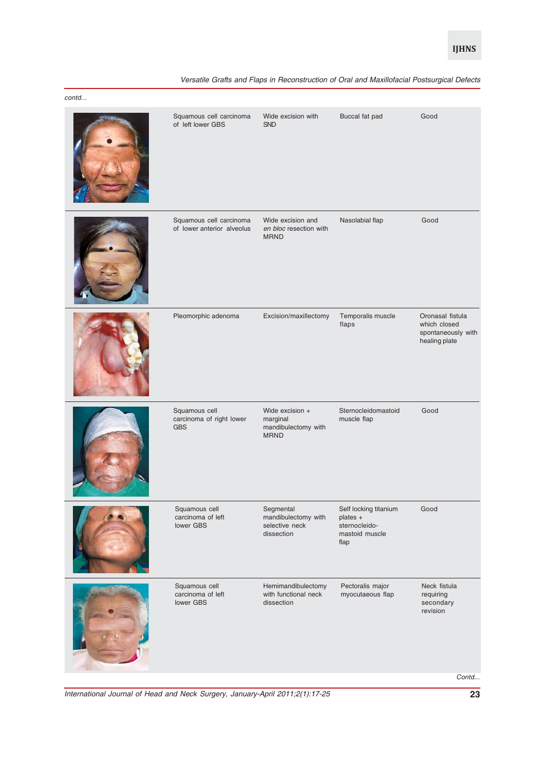| Versatile Grafts and Flaps in Reconstruction of Oral and Maxillofacial Postsurgical Defects |  |  |  |
|---------------------------------------------------------------------------------------------|--|--|--|
|---------------------------------------------------------------------------------------------|--|--|--|

| contd |                                                         |                                                                   |                                                                              |                                                                         |
|-------|---------------------------------------------------------|-------------------------------------------------------------------|------------------------------------------------------------------------------|-------------------------------------------------------------------------|
|       | Squamous cell carcinoma<br>of left lower GBS            | Wide excision with<br><b>SND</b>                                  | Buccal fat pad                                                               | Good                                                                    |
|       | Squamous cell carcinoma<br>of lower anterior alveolus   | Wide excision and<br>en bloc resection with<br><b>MRND</b>        | Nasolabial flap                                                              | Good                                                                    |
|       | Pleomorphic adenoma                                     | Excision/maxillectomy                                             | Temporalis muscle<br>flaps                                                   | Oronasal fistula<br>which closed<br>spontaneously with<br>healing plate |
|       | Squamous cell<br>carcinoma of right lower<br><b>GBS</b> | Wide excision +<br>marginal<br>mandibulectomy with<br><b>MRND</b> | Sternocleidomastoid<br>muscle flap                                           | Good                                                                    |
|       | Squamous cell<br>carcinoma of left<br>lower GBS         | Segmental<br>mandibulectomy with<br>selective neck<br>dissection  | Self locking titanium<br>plates +<br>sternocleido-<br>mastoid muscle<br>flap | Good                                                                    |
|       | Squamous cell<br>carcinoma of left<br>lower GBS         | Hemimandibulectomy<br>with functional neck<br>dissection          | Pectoralis major<br>myocutaeous flap                                         | Neck fistula<br>requiring<br>secondary<br>revision                      |
|       |                                                         |                                                                   |                                                                              | Contd                                                                   |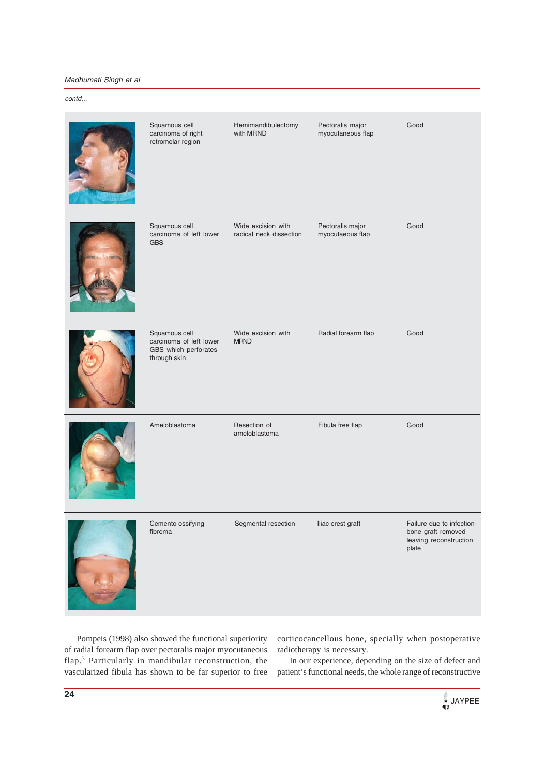# *Madhumati Singh et al*

### *contd...*

| Squamous cell<br>carcinoma of right<br>retromolar region                         | Hemimandibulectomy<br>with MRND               | Pectoralis major<br>myocutaneous flap | Good                                                                               |
|----------------------------------------------------------------------------------|-----------------------------------------------|---------------------------------------|------------------------------------------------------------------------------------|
| Squamous cell<br>carcinoma of left lower<br><b>GBS</b>                           | Wide excision with<br>radical neck dissection | Pectoralis major<br>myocutaeous flap  | Good                                                                               |
| Squamous cell<br>carcinoma of left lower<br>GBS which perforates<br>through skin | Wide excision with<br><b>MRND</b>             | Radial forearm flap                   | Good                                                                               |
| Ameloblastoma                                                                    | Resection of<br>ameloblastoma                 | Fibula free flap                      | Good                                                                               |
| Cemento ossitying<br>fibroma                                                     | Segmental resection                           | Illac crest graft                     | Failure due to infection-<br>bone graft removed<br>leaving reconstruction<br>plate |

Pompeis (1998) also showed the functional superiority of radial forearm flap over pectoralis major myocutaneous flap.<sup>3</sup> Particularly in mandibular reconstruction, the vascularized fibula has shown to be far superior to free corticocancellous bone, specially when postoperative radiotherapy is necessary.

In our experience, depending on the size of defect and patient's functional needs, the whole range of reconstructive